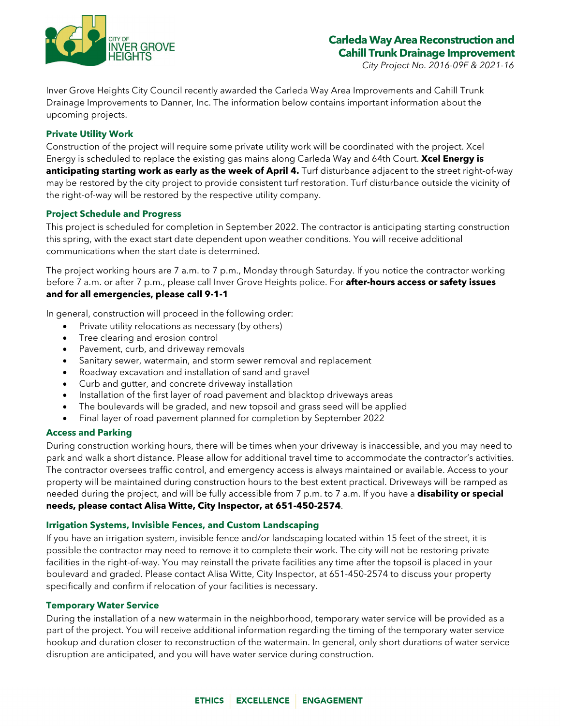

*City Project No. 2016-09F & 2021-16*

Inver Grove Heights City Council recently awarded the Carleda Way Area Improvements and Cahill Trunk Drainage Improvements to Danner, Inc. The information below contains important information about the upcoming projects.

## **Private Utility Work**

Construction of the project will require some private utility work will be coordinated with the project. Xcel Energy is scheduled to replace the existing gas mains along Carleda Way and 64th Court. **Xcel Energy is anticipating starting work as early as the week of April 4.** Turf disturbance adjacent to the street right-of-way may be restored by the city project to provide consistent turf restoration. Turf disturbance outside the vicinity of the right-of-way will be restored by the respective utility company.

## **Project Schedule and Progress**

This project is scheduled for completion in September 2022. The contractor is anticipating starting construction this spring, with the exact start date dependent upon weather conditions. You will receive additional communications when the start date is determined.

The project working hours are 7 a.m. to 7 p.m., Monday through Saturday. If you notice the contractor working before 7 a.m. or after 7 p.m., please call Inver Grove Heights police. For **after-hours access or safety issues and for all emergencies, please call 9-1-1**

In general, construction will proceed in the following order:

- Private utility relocations as necessary (by others)
- Tree clearing and erosion control
- Pavement, curb, and driveway removals
- Sanitary sewer, watermain, and storm sewer removal and replacement
- Roadway excavation and installation of sand and gravel
- Curb and gutter, and concrete driveway installation
- Installation of the first layer of road pavement and blacktop driveways areas
- The boulevards will be graded, and new topsoil and grass seed will be applied
- Final layer of road pavement planned for completion by September 2022

### **Access and Parking**

During construction working hours, there will be times when your driveway is inaccessible, and you may need to park and walk a short distance. Please allow for additional travel time to accommodate the contractor's activities. The contractor oversees traffic control, and emergency access is always maintained or available. Access to your property will be maintained during construction hours to the best extent practical. Driveways will be ramped as needed during the project, and will be fully accessible from 7 p.m. to 7 a.m. If you have a **disability or special needs, please contact Alisa Witte, City Inspector, at 651-450-2574**.

### **Irrigation Systems, Invisible Fences, and Custom Landscaping**

If you have an irrigation system, invisible fence and/or landscaping located within 15 feet of the street, it is possible the contractor may need to remove it to complete their work. The city will not be restoring private facilities in the right-of-way. You may reinstall the private facilities any time after the topsoil is placed in your boulevard and graded. Please contact Alisa Witte, City Inspector, at 651-450-2574 to discuss your property specifically and confirm if relocation of your facilities is necessary.

### **Temporary Water Service**

During the installation of a new watermain in the neighborhood, temporary water service will be provided as a part of the project. You will receive additional information regarding the timing of the temporary water service hookup and duration closer to reconstruction of the watermain. In general, only short durations of water service disruption are anticipated, and you will have water service during construction.